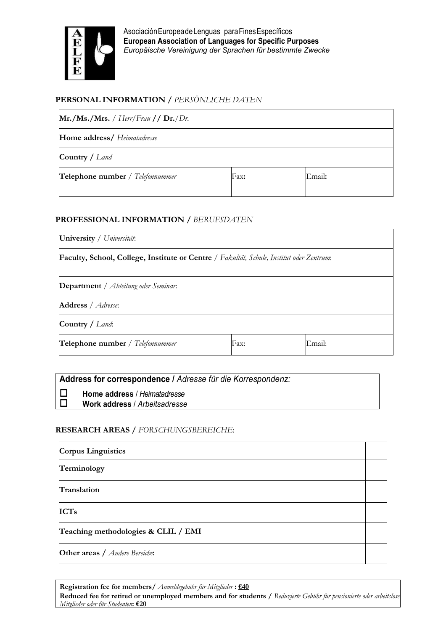

AsociaciónEuropeadeLenguas paraFinesEspecíficos European Association of Languages for Specific Purposes *Europäische Vereinigung der Sprachen für bestimmte Zwecke*

### PERSONAL INFORMATION / *PERSÖNLICHE DATEN*

| Mr./Ms./Mrs. / Herr/Frau // Dr./Dr. |        |  |  |  |  |  |  |  |  |
|-------------------------------------|--------|--|--|--|--|--|--|--|--|
| Home address/ Heimatadresse         |        |  |  |  |  |  |  |  |  |
| <b>Country</b> / Land               |        |  |  |  |  |  |  |  |  |
| Fax:                                | Email: |  |  |  |  |  |  |  |  |
|                                     |        |  |  |  |  |  |  |  |  |

#### PROFESSIONAL INFORMATION / *BERUFSDATEN*

| University / Universität:                                                                |      |        |  |  |  |  |  |  |  |
|------------------------------------------------------------------------------------------|------|--------|--|--|--|--|--|--|--|
| Faculty, School, College, Institute or Centre / Fakultät, Schule, Institut oder Zentrum. |      |        |  |  |  |  |  |  |  |
| <b>Department</b> / Abteilung oder Seminar.                                              |      |        |  |  |  |  |  |  |  |
| Address / Adresse:                                                                       |      |        |  |  |  |  |  |  |  |
| Country / Land:                                                                          |      |        |  |  |  |  |  |  |  |
| Telephone number / Telefonnummer                                                         | Fax: | Email: |  |  |  |  |  |  |  |

## Address for correspondence / *Adresse für die Korrespondenz:*

Home address / *Heimatadresse*

Work address / *Arbeitsadresse*

### RESEARCH AREAS / *FORSCHUNGSBEREICHE*:

| <b>Corpus Linguistics</b>                     |  |
|-----------------------------------------------|--|
| Terminology                                   |  |
| Translation                                   |  |
| <b>ICTs</b>                                   |  |
| Teaching methodologies & CLIL / EMI           |  |
| <b>Other areas</b> / <i>Andere Bereiche</i> : |  |

Registration fee for members/ *Anmeldegebühr für Mitglieder* : €40

Reduced fee for retired or unemployed members and for students / *Reduzierte Gebühr für pensionierte oder arbeitslose Mitglieder oder für Studenten*: €20